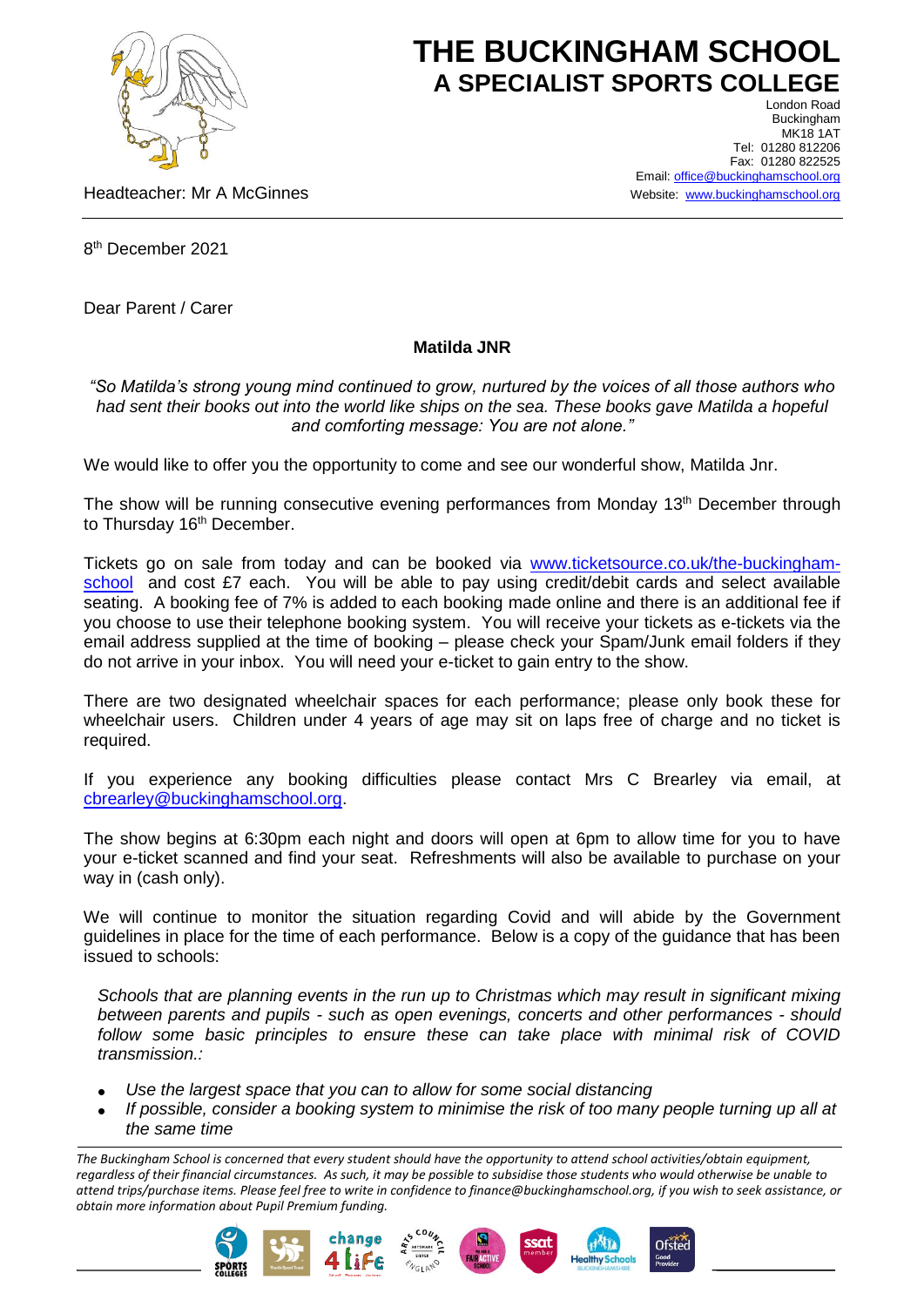

## **THE BUCKINGHAM SCHOOL A SPECIALIST SPORTS COLLEGE** London Road

Headteacher: Mr A McGinnes

Buckingham **MK18 1AT** Tel: 01280 812206 Fax: 01280 822525 Email[: office@buckinghamschool.org](mailto:office@buckinghamschool.org) Website: [www.buckinghamschool.org](http://www.buckinghamschool.org/)

8 th December 2021

Dear Parent / Carer

## **Matilda JNR**

*"So Matilda's strong young mind continued to grow, nurtured by the voices of all those authors who had sent their books out into the world like ships on the sea. These books gave Matilda a hopeful and comforting message: You are not alone."*

We would like to offer you the opportunity to come and see our wonderful show, Matilda Jnr.

The show will be running consecutive evening performances from Monday 13<sup>th</sup> December through to Thursday 16<sup>th</sup> December.

Tickets go on sale from today and can be booked via [www.ticketsource.co.uk/the-buckingham](http://www.ticketsource.co.uk/the-buckingham-school)[school](http://www.ticketsource.co.uk/the-buckingham-school) and cost £7 each. You will be able to pay using credit/debit cards and select available seating. A booking fee of 7% is added to each booking made online and there is an additional fee if you choose to use their telephone booking system. You will receive your tickets as e-tickets via the email address supplied at the time of booking – please check your Spam/Junk email folders if they do not arrive in your inbox. You will need your e-ticket to gain entry to the show.

There are two designated wheelchair spaces for each performance; please only book these for wheelchair users. Children under 4 years of age may sit on laps free of charge and no ticket is required.

If you experience any booking difficulties please contact Mrs C Brearley via email, at [cbrearley@buckinghamschool.org.](mailto:cbrearley@buckinghamschool.org)

The show begins at 6:30pm each night and doors will open at 6pm to allow time for you to have your e-ticket scanned and find your seat. Refreshments will also be available to purchase on your way in (cash only).

We will continue to monitor the situation regarding Covid and will abide by the Government guidelines in place for the time of each performance. Below is a copy of the guidance that has been issued to schools:

*Schools that are planning events in the run up to Christmas which may result in significant mixing between parents and pupils - such as open evenings, concerts and other performances - should*  follow some basic principles to ensure these can take place with minimal risk of COVID *transmission.:*

- *Use the largest space that you can to allow for some social distancing*
- *If possible, consider a booking system to minimise the risk of too many people turning up all at the same time*

*The Buckingham School is concerned that every student should have the opportunity to attend school activities/obtain equipment, regardless of their financial circumstances. As such, it may be possible to subsidise those students who would otherwise be unable to attend trips/purchase items. Please feel free to write in confidence to finance@buckinghamschool.org, if you wish to seek assistance, or obtain more information about Pupil Premium funding.*